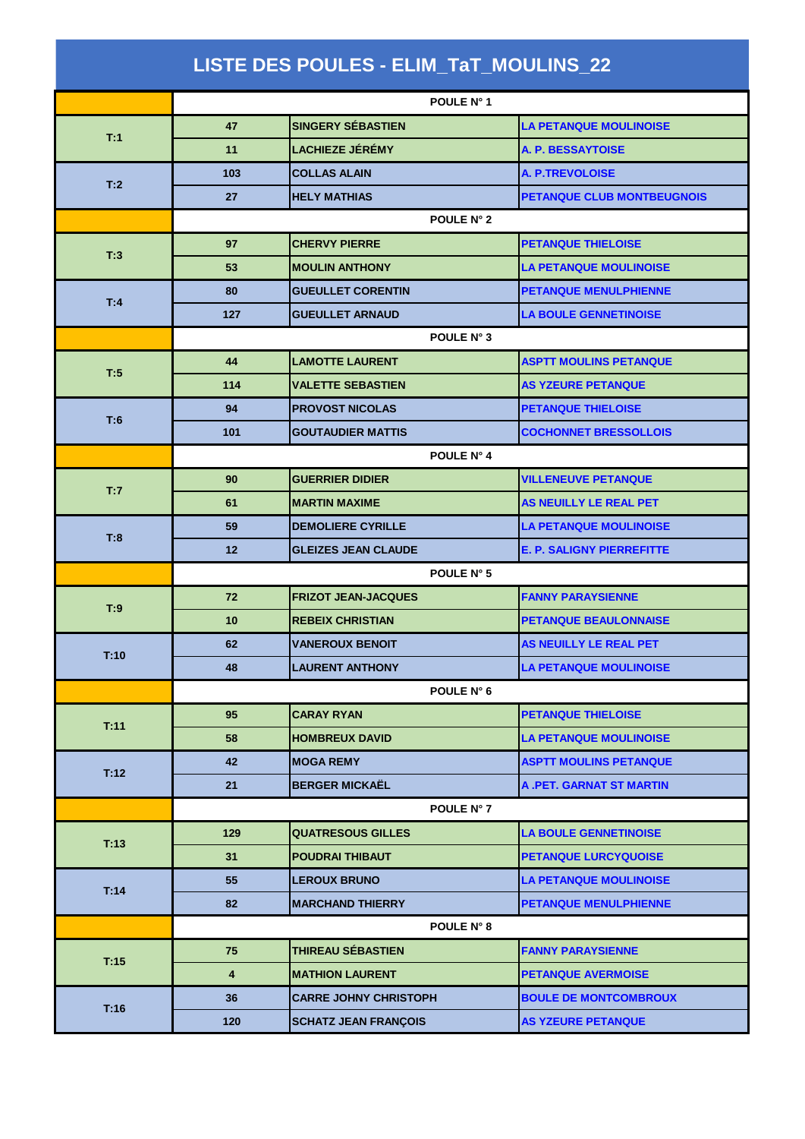| LISTE DES POULES - ELIM_TaT_MOULINS_22 |            |                              |                                   |  |
|----------------------------------------|------------|------------------------------|-----------------------------------|--|
|                                        |            | POULE N° 1                   |                                   |  |
| T:1                                    | 47         | <b>SINGERY SÉBASTIEN</b>     | <b>LA PETANQUE MOULINOISE</b>     |  |
|                                        | 11         | <b>LACHIEZE JÉRÉMY</b>       | A. P. BESSAYTOISE                 |  |
|                                        | 103        | <b>COLLAS ALAIN</b>          | <b>A. P.TREVOLOISE</b>            |  |
| T:2                                    | 27         | <b>HELY MATHIAS</b>          | <b>PETANQUE CLUB MONTBEUGNOIS</b> |  |
|                                        |            | POULE N° 2                   |                                   |  |
| T:3                                    | 97         | <b>CHERVY PIERRE</b>         | <b>PETANQUE THIELOISE</b>         |  |
|                                        | 53         | <b>MOULIN ANTHONY</b>        | <b>LA PETANQUE MOULINOISE</b>     |  |
| T:4                                    | 80         | <b>GUEULLET CORENTIN</b>     | <b>PETANQUE MENULPHIENNE</b>      |  |
|                                        | 127        | <b>GUEULLET ARNAUD</b>       | <b>LA BOULE GENNETINOISE</b>      |  |
|                                        | POULE N° 3 |                              |                                   |  |
| T:5                                    | 44         | <b>LAMOTTE LAURENT</b>       | <b>ASPTT MOULINS PETANQUE</b>     |  |
|                                        | 114        | <b>VALETTE SEBASTIEN</b>     | <b>AS YZEURE PETANQUE</b>         |  |
| T:6                                    | 94         | <b>PROVOST NICOLAS</b>       | <b>PETANQUE THIELOISE</b>         |  |
|                                        | 101        | <b>GOUTAUDIER MATTIS</b>     | <b>COCHONNET BRESSOLLOIS</b>      |  |
|                                        | POULE N° 4 |                              |                                   |  |
| T:7                                    | 90         | <b>GUERRIER DIDIER</b>       | <b>VILLENEUVE PETANQUE</b>        |  |
|                                        | 61         | <b>MARTIN MAXIME</b>         | AS NEUILLY LE REAL PET            |  |
| T:8                                    | 59         | <b>DEMOLIERE CYRILLE</b>     | <b>LA PETANQUE MOULINOISE</b>     |  |
|                                        | 12         | <b>GLEIZES JEAN CLAUDE</b>   | <b>E. P. SALIGNY PIERREFITTE</b>  |  |
|                                        | POULE N° 5 |                              |                                   |  |
| T:9                                    | 72         | <b>FRIZOT JEAN-JACQUES</b>   | <b>FANNY PARAYSIENNE</b>          |  |
|                                        | 10         | <b>REBEIX CHRISTIAN</b>      | <b>PETANQUE BEAULONNAISE</b>      |  |
| T:10                                   | 62         | <b>VANEROUX BENOIT</b>       | AS NEUILLY LE REAL PET            |  |
|                                        | 48         | <b>LAURENT ANTHONY</b>       | <b>LA PETANQUE MOULINOISE</b>     |  |
|                                        |            | POULE N° 6                   |                                   |  |
| T:11                                   | 95         | <b>CARAY RYAN</b>            | <b>PETANQUE THIELOISE</b>         |  |
|                                        | 58         | <b>HOMBREUX DAVID</b>        | <b>LA PETANQUE MOULINOISE</b>     |  |
| T:12                                   | 42         | <b>MOGA REMY</b>             | <b>ASPTT MOULINS PETANQUE</b>     |  |
|                                        | 21         | <b>BERGER MICKAËL</b>        | <b>A.PET. GARNAT ST MARTIN</b>    |  |
|                                        |            | POULE N° 7                   |                                   |  |
| T:13                                   | 129        | <b>QUATRESOUS GILLES</b>     | <b>LA BOULE GENNETINOISE</b>      |  |
|                                        | 31         | <b>POUDRAI THIBAUT</b>       | PETANQUE LURCYQUOISE              |  |
| T:14                                   | 55         | <b>LEROUX BRUNO</b>          | <b>LA PETANQUE MOULINOISE</b>     |  |
|                                        | 82         | <b>MARCHAND THIERRY</b>      | PETANQUE MENULPHIENNE             |  |
|                                        |            | POULE N° 8                   |                                   |  |
| T:15                                   | 75         | THIREAU SÉBASTIEN            | <b>FANNY PARAYSIENNE</b>          |  |
|                                        | 4          | <b>MATHION LAURENT</b>       | <b>PETANQUE AVERMOISE</b>         |  |
| T:16                                   | 36         | <b>CARRE JOHNY CHRISTOPH</b> | <b>BOULE DE MONTCOMBROUX</b>      |  |
|                                        | 120        | <b>SCHATZ JEAN FRANÇOIS</b>  | <b>AS YZEURE PETANQUE</b>         |  |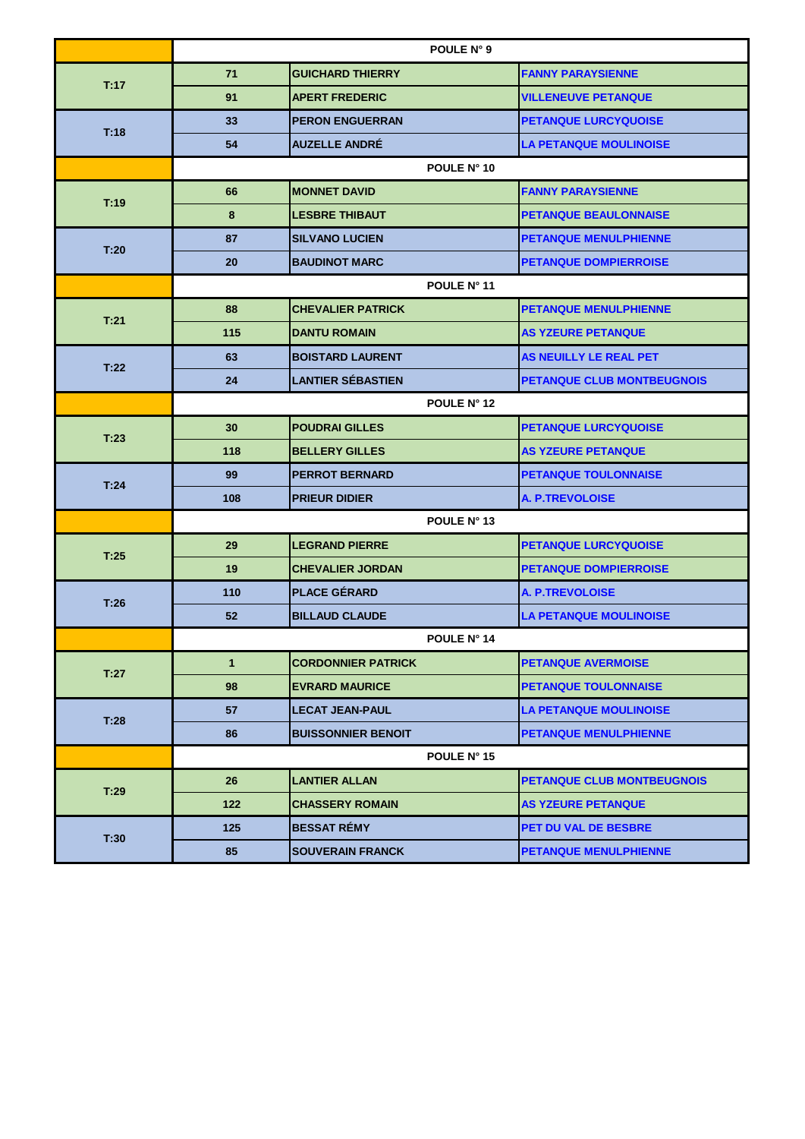|      | POULE N° 9   |                           |                                   |  |
|------|--------------|---------------------------|-----------------------------------|--|
| T:17 | 71           | <b>GUICHARD THIERRY</b>   | <b>FANNY PARAYSIENNE</b>          |  |
|      | 91           | <b>APERT FREDERIC</b>     | <b>VILLENEUVE PETANQUE</b>        |  |
|      | 33           | <b>PERON ENGUERRAN</b>    | PETANQUE LURCYQUOISE              |  |
| T.18 | 54           | <b>AUZELLE ANDRÉ</b>      | <b>LA PETANQUE MOULINOISE</b>     |  |
|      |              | POULE N° 10               |                                   |  |
| T:19 | 66           | <b>MONNET DAVID</b>       | <b>FANNY PARAYSIENNE</b>          |  |
|      | 8            | <b>LESBRE THIBAUT</b>     | <b>PETANQUE BEAULONNAISE</b>      |  |
| T:20 | 87           | <b>SILVANO LUCIEN</b>     | <b>PETANQUE MENULPHIENNE</b>      |  |
|      | 20           | <b>BAUDINOT MARC</b>      | <b>PETANQUE DOMPIERROISE</b>      |  |
|      | POULE N° 11  |                           |                                   |  |
| T:21 | 88           | <b>CHEVALIER PATRICK</b>  | <b>PETANQUE MENULPHIENNE</b>      |  |
|      | 115          | <b>DANTU ROMAIN</b>       | <b>AS YZEURE PETANQUE</b>         |  |
| T:22 | 63           | <b>BOISTARD LAURENT</b>   | AS NEUILLY LE REAL PET            |  |
|      | 24           | <b>LANTIER SÉBASTIEN</b>  | <b>PETANQUE CLUB MONTBEUGNOIS</b> |  |
|      | POULE N° 12  |                           |                                   |  |
| T:23 | 30           | <b>POUDRAI GILLES</b>     | <b>PETANQUE LURCYQUOISE</b>       |  |
|      | 118          | <b>BELLERY GILLES</b>     | <b>AS YZEURE PETANQUE</b>         |  |
| T:24 | 99           | <b>PERROT BERNARD</b>     | <b>PETANQUE TOULONNAISE</b>       |  |
|      | 108          | <b>PRIEUR DIDIER</b>      | <b>A. P.TREVOLOISE</b>            |  |
|      | POULE N° 13  |                           |                                   |  |
| T:25 | 29           | <b>LEGRAND PIERRE</b>     | PETANQUE LURCYQUOISE              |  |
|      | 19           | <b>CHEVALIER JORDAN</b>   | <b>PETANQUE DOMPIERROISE</b>      |  |
| T:26 | 110          | <b>PLACE GÉRARD</b>       | <b>A. P.TREVOLOISE</b>            |  |
|      | 52           | <b>BILLAUD CLAUDE</b>     | <b>LA PETANQUE MOULINOISE</b>     |  |
|      |              | POULE N° 14               |                                   |  |
| T:27 | $\mathbf{1}$ | <b>CORDONNIER PATRICK</b> | <b>PETANQUE AVERMOISE</b>         |  |
|      | 98           | <b>EVRARD MAURICE</b>     | <b>PETANQUE TOULONNAISE</b>       |  |
| T:28 | 57           | <b>LECAT JEAN-PAUL</b>    | LA PETANQUE MOULINOISE            |  |
|      | 86           | <b>BUISSONNIER BENOIT</b> | <b>PETANQUE MENULPHIENNE</b>      |  |
|      |              | POULE N° 15               |                                   |  |
| T:29 | 26           | <b>LANTIER ALLAN</b>      | PETANQUE CLUB MONTBEUGNOIS        |  |
|      | 122          | <b>CHASSERY ROMAIN</b>    | <b>AS YZEURE PETANQUE</b>         |  |
| T:30 | 125          | <b>BESSAT RÉMY</b>        | PET DU VAL DE BESBRE              |  |
|      | 85           | <b>SOUVERAIN FRANCK</b>   | <b>PETANQUE MENULPHIENNE</b>      |  |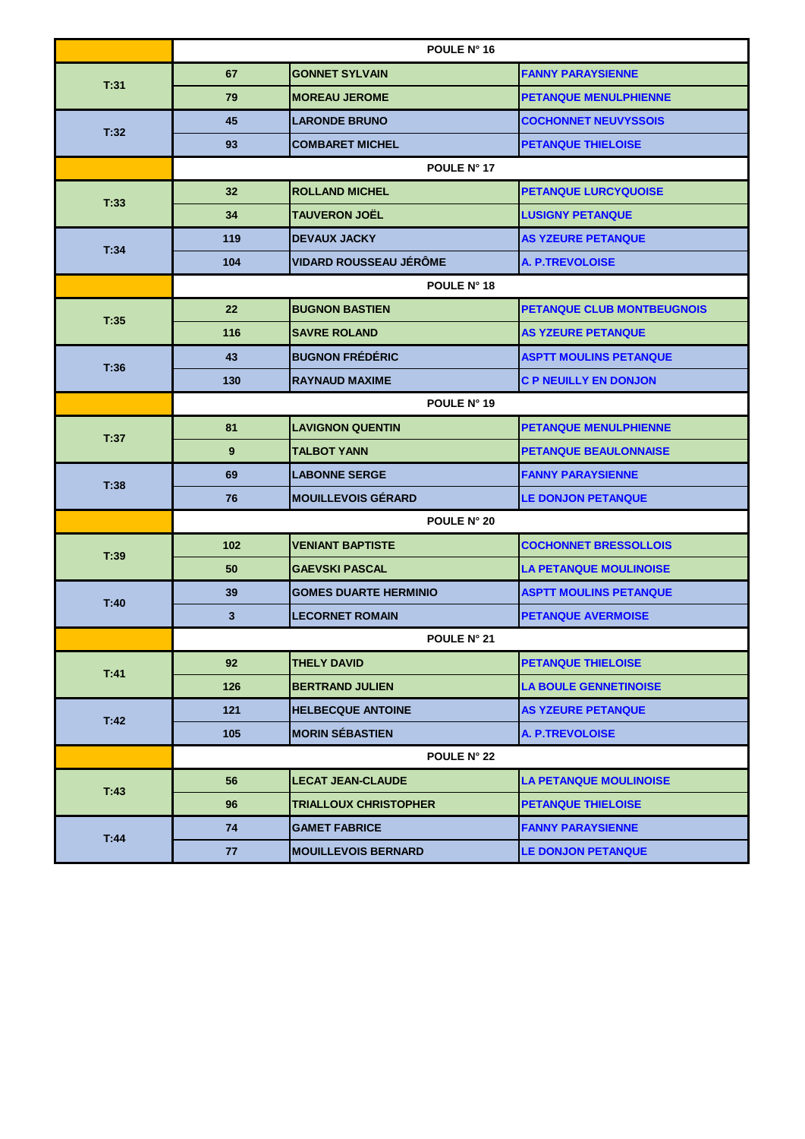|      | POULE N° 16 |                               |                                   |  |
|------|-------------|-------------------------------|-----------------------------------|--|
| T:31 | 67          | <b>GONNET SYLVAIN</b>         | <b>FANNY PARAYSIENNE</b>          |  |
|      | 79          | <b>MOREAU JEROME</b>          | <b>PETANQUE MENULPHIENNE</b>      |  |
|      | 45          | <b>LARONDE BRUNO</b>          | <b>COCHONNET NEUVYSSOIS</b>       |  |
| T:32 | 93          | <b>COMBARET MICHEL</b>        | <b>PETANQUE THIELOISE</b>         |  |
|      |             | POULE N° 17                   |                                   |  |
| T:33 | 32          | <b>ROLLAND MICHEL</b>         | <b>PETANQUE LURCYQUOISE</b>       |  |
|      | 34          | <b>TAUVERON JOËL</b>          | <b>LUSIGNY PETANQUE</b>           |  |
|      | 119         | <b>DEVAUX JACKY</b>           | <b>AS YZEURE PETANQUE</b>         |  |
| T:34 | 104         | <b>VIDARD ROUSSEAU JÉRÖME</b> | <b>A. P.TREVOLOISE</b>            |  |
|      | POULE N° 18 |                               |                                   |  |
| T:35 | 22          | <b>BUGNON BASTIEN</b>         | <b>PETANQUE CLUB MONTBEUGNOIS</b> |  |
|      | 116         | <b>SAVRE ROLAND</b>           | <b>AS YZEURE PETANQUE</b>         |  |
|      | 43          | <b>BUGNON FRÉDÉRIC</b>        | <b>ASPTT MOULINS PETANQUE</b>     |  |
| T:36 | 130         | <b>RAYNAUD MAXIME</b>         | <b>C P NEUILLY EN DONJON</b>      |  |
|      | POULE N° 19 |                               |                                   |  |
| T:37 | 81          | <b>LAVIGNON QUENTIN</b>       | <b>PETANQUE MENULPHIENNE</b>      |  |
|      | 9           | <b>TALBOT YANN</b>            | <b>PETANQUE BEAULONNAISE</b>      |  |
| T:38 | 69          | <b>LABONNE SERGE</b>          | <b>FANNY PARAYSIENNE</b>          |  |
|      | 76          | <b>MOUILLEVOIS GÉRARD</b>     | <b>LE DONJON PETANQUE</b>         |  |
|      | POULE N° 20 |                               |                                   |  |
| T:39 | 102         | <b>VENIANT BAPTISTE</b>       | <b>COCHONNET BRESSOLLOIS</b>      |  |
|      | 50          | <b>GAEVSKI PASCAL</b>         | <b>LA PETANQUE MOULINOISE</b>     |  |
| T:40 | 39          | <b>GOMES DUARTE HERMINIO</b>  | <b>ASPTT MOULINS PETANQUE</b>     |  |
|      | 3           | <b>LECORNET ROMAIN</b>        | <b>PETANQUE AVERMOISE</b>         |  |
|      |             | <b>POULE N° 21</b>            |                                   |  |
| T:41 | 92          | <b>THELY DAVID</b>            | <b>PETANQUE THIELOISE</b>         |  |
|      | 126         | <b>BERTRAND JULIEN</b>        | <b>LA BOULE GENNETINOISE</b>      |  |
| T:42 | 121         | <b>HELBECQUE ANTOINE</b>      | <b>AS YZEURE PETANQUE</b>         |  |
|      | 105         | <b>MORIN SÉBASTIEN</b>        | <b>A. P.TREVOLOISE</b>            |  |
|      |             | POULE N° 22                   |                                   |  |
| T:43 | 56          | <b>LECAT JEAN-CLAUDE</b>      | <b>LA PETANQUE MOULINOISE</b>     |  |
|      | 96          | <b>TRIALLOUX CHRISTOPHER</b>  | <b>PETANQUE THIELOISE</b>         |  |
| T:44 | 74          | <b>GAMET FABRICE</b>          | <b>FANNY PARAYSIENNE</b>          |  |
|      | 77          | <b>MOUILLEVOIS BERNARD</b>    | <b>LE DONJON PETANQUE</b>         |  |
|      |             |                               |                                   |  |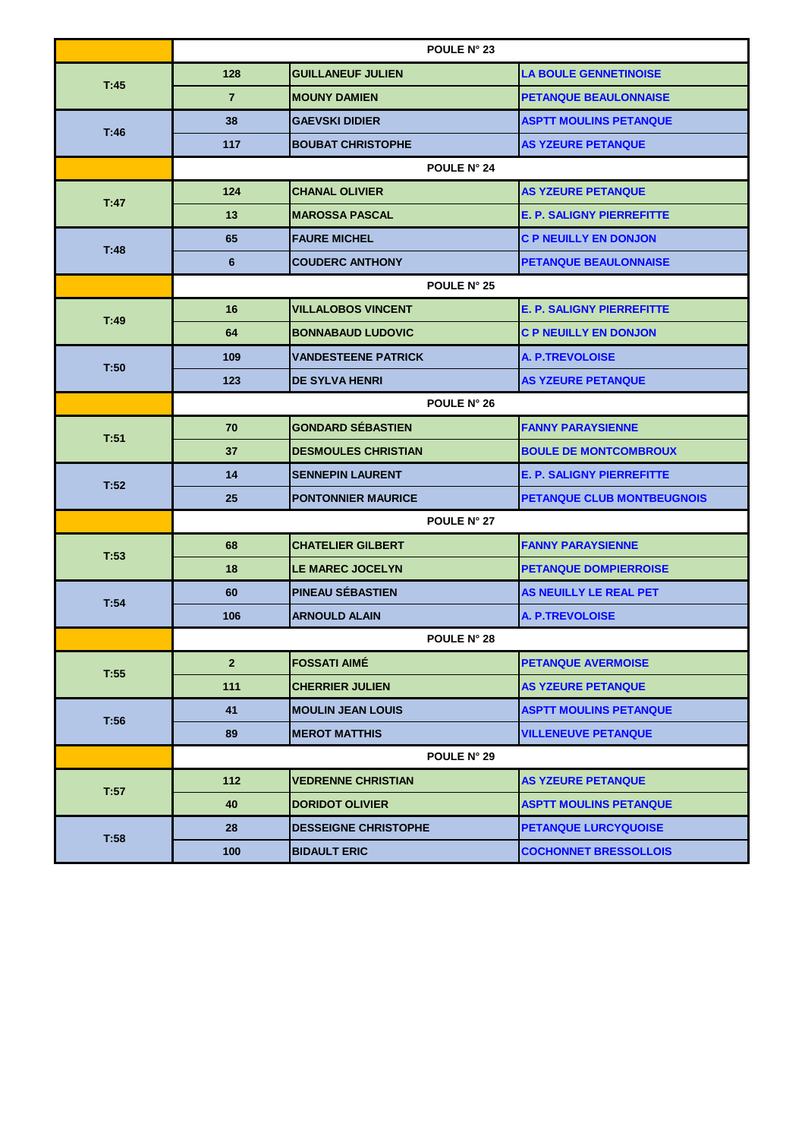|      | POULE N° 23        |                             |                                  |  |
|------|--------------------|-----------------------------|----------------------------------|--|
| T:45 | 128                | <b>GUILLANEUF JULIEN</b>    | <b>LA BOULE GENNETINOISE</b>     |  |
|      | $\overline{7}$     | <b>MOUNY DAMIEN</b>         | <b>PETANQUE BEAULONNAISE</b>     |  |
|      | 38                 | <b>GAEVSKI DIDIER</b>       | <b>ASPTT MOULINS PETANQUE</b>    |  |
| T:46 | 117                | <b>BOUBAT CHRISTOPHE</b>    | <b>AS YZEURE PETANQUE</b>        |  |
|      |                    | <b>POULE N° 24</b>          |                                  |  |
| T:47 | 124                | <b>CHANAL OLIVIER</b>       | <b>AS YZEURE PETANQUE</b>        |  |
|      | 13                 | <b>MAROSSA PASCAL</b>       | <b>E. P. SALIGNY PIERREFITTE</b> |  |
| T:48 | 65                 | <b>FAURE MICHEL</b>         | <b>C P NEUILLY EN DONJON</b>     |  |
|      | 6                  | <b>COUDERC ANTHONY</b>      | <b>PETANQUE BEAULONNAISE</b>     |  |
|      |                    | POULE N° 25                 |                                  |  |
|      | 16                 | <b>VILLALOBOS VINCENT</b>   | <b>E. P. SALIGNY PIERREFITTE</b> |  |
| T:49 | 64                 | <b>BONNABAUD LUDOVIC</b>    | <b>C P NEUILLY EN DONJON</b>     |  |
| T:50 | 109                | <b>VANDESTEENE PATRICK</b>  | <b>A. P.TREVOLOISE</b>           |  |
|      | 123                | <b>DE SYLVA HENRI</b>       | <b>AS YZEURE PETANQUE</b>        |  |
|      | <b>POULE N° 26</b> |                             |                                  |  |
| T:51 | 70                 | <b>GONDARD SÉBASTIEN</b>    | <b>FANNY PARAYSIENNE</b>         |  |
|      | 37                 | <b>DESMOULES CHRISTIAN</b>  | <b>BOULE DE MONTCOMBROUX</b>     |  |
| T:52 | 14                 | <b>SENNEPIN LAURENT</b>     | <b>E. P. SALIGNY PIERREFITTE</b> |  |
|      | 25                 | <b>PONTONNIER MAURICE</b>   | PETANQUE CLUB MONTBEUGNOIS       |  |
|      |                    | <b>POULE N° 27</b>          |                                  |  |
| T:53 | 68                 | <b>CHATELIER GILBERT</b>    | <b>FANNY PARAYSIENNE</b>         |  |
|      | 18                 | <b>LE MAREC JOCELYN</b>     | <b>PETANQUE DOMPIERROISE</b>     |  |
| T:54 | 60                 | <b>PINEAU SÉBASTIEN</b>     | AS NEUILLY LE REAL PET           |  |
|      | 106                | <b>ARNOULD ALAIN</b>        | <b>A. P.TREVOLOISE</b>           |  |
|      |                    | <b>POULE N° 28</b>          |                                  |  |
| T:55 | $\overline{2}$     | <b>FOSSATI AIME</b>         | <b>PETANQUE AVERMOISE</b>        |  |
|      | 111                | <b>CHERRIER JULIEN</b>      | <b>AS YZEURE PETANQUE</b>        |  |
| T:56 | 41                 | <b>MOULIN JEAN LOUIS</b>    | <b>ASPTT MOULINS PETANQUE</b>    |  |
|      | 89                 | <b>MEROT MATTHIS</b>        | <b>VILLENEUVE PETANQUE</b>       |  |
|      |                    | POULE N° 29                 |                                  |  |
| T:57 | 112                | <b>VEDRENNE CHRISTIAN</b>   | <b>AS YZEURE PETANQUE</b>        |  |
|      | 40                 | <b>DORIDOT OLIVIER</b>      | <b>ASPTT MOULINS PETANQUE</b>    |  |
| T:58 | 28                 | <b>DESSEIGNE CHRISTOPHE</b> | PETANQUE LURCYQUOISE             |  |
|      | 100                | <b>BIDAULT ERIC</b>         | <b>COCHONNET BRESSOLLOIS</b>     |  |